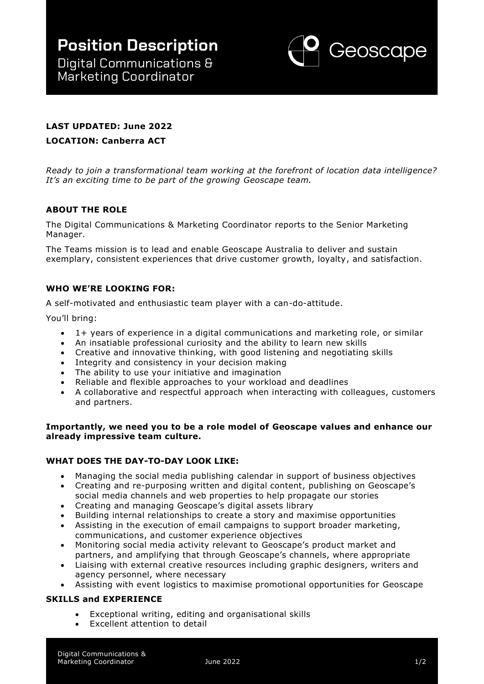

# **LAST UPDATED: June 2022**

## **LOCATION: Canberra ACT**

*Ready to join a transformational team working at the forefront of location data intelligence? It's an exciting time to be part of the growing Geoscape team.* 

## **ABOUT THE ROLE**

The Digital Communications & Marketing Coordinator reports to the Senior Marketing Manager.

The Teams mission is to lead and enable Geoscape Australia to deliver and sustain exemplary, consistent experiences that drive customer growth, loyalty, and satisfaction.

## **WHO WE'RE LOOKING FOR:**

A self-motivated and enthusiastic team player with a can-do-attitude.

You'll bring:

- 1+ years of experience in a digital communications and marketing role, or similar
- An insatiable professional curiosity and the ability to learn new skills
- Creative and innovative thinking, with good listening and negotiating skills
- Integrity and consistency in your decision making
- The ability to use your initiative and imagination
- Reliable and flexible approaches to your workload and deadlines
- A collaborative and respectful approach when interacting with colleagues, customers and partners.

#### **Importantly, we need you to be a role model of Geoscape values and enhance our already impressive team culture.**

#### **WHAT DOES THE DAY-TO-DAY LOOK LIKE:**

- Managing the social media publishing calendar in support of business objectives
- Creating and re-purposing written and digital content, publishing on Geoscape's social media channels and web properties to help propagate our stories
- Creating and managing Geoscape's digital assets library
- Building internal relationships to create a story and maximise opportunities
- Assisting in the execution of email campaigns to support broader marketing, communications, and customer experience objectives
- Monitoring social media activity relevant to Geoscape's product market and partners, and amplifying that through Geoscape's channels, where appropriate
- Liaising with external creative resources including graphic designers, writers and agency personnel, where necessary
- Assisting with event logistics to maximise promotional opportunities for Geoscape

#### **SKILLS and EXPERIENCE**

- Exceptional writing, editing and organisational skills
- Excellent attention to detail